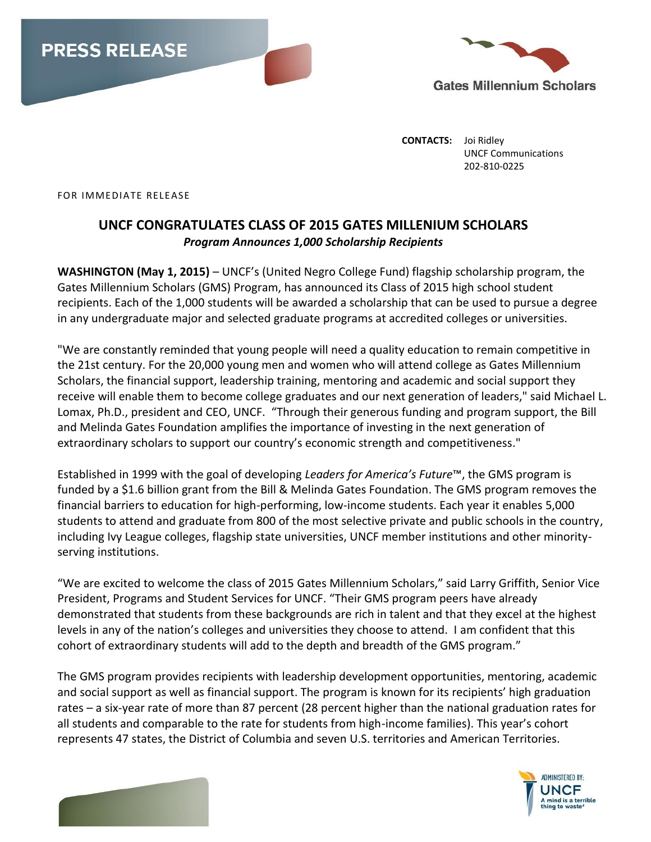



**CONTACTS:** Joi Ridley UNCF Communications 202-810-0225

FOR IMMEDIATE RELEASE

## **UNCF CONGRATULATES CLASS OF 2015 GATES MILLENIUM SCHOLARS** *Program Announces 1,000 Scholarship Recipients*

**WASHINGTON (May 1, 2015)** – UNCF's (United Negro College Fund) flagship scholarship program, the Gates Millennium Scholars (GMS) Program, has announced its Class of 2015 high school student recipients. Each of the 1,000 students will be awarded a scholarship that can be used to pursue a degree in any undergraduate major and selected graduate programs at accredited colleges or universities.

"We are constantly reminded that young people will need a quality education to remain competitive in the 21st century. For the 20,000 young men and women who will attend college as Gates Millennium Scholars, the financial support, leadership training, mentoring and academic and social support they receive will enable them to become college graduates and our next generation of leaders," said Michael L. Lomax, Ph.D., president and CEO, UNCF. "Through their generous funding and program support, the Bill and Melinda Gates Foundation amplifies the importance of investing in the next generation of extraordinary scholars to support our country's economic strength and competitiveness."

Established in 1999 with the goal of developing *Leaders for America's Future*™, the GMS program is funded by a \$1.6 billion grant from the Bill & Melinda Gates Foundation. The GMS program removes the financial barriers to education for high-performing, low-income students. Each year it enables 5,000 students to attend and graduate from 800 of the most selective private and public schools in the country, including Ivy League colleges, flagship state universities, UNCF member institutions and other minorityserving institutions.

"We are excited to welcome the class of 2015 Gates Millennium Scholars," said Larry Griffith, Senior Vice President, Programs and Student Services for UNCF. "Their GMS program peers have already demonstrated that students from these backgrounds are rich in talent and that they excel at the highest levels in any of the nation's colleges and universities they choose to attend. I am confident that this cohort of extraordinary students will add to the depth and breadth of the GMS program."

The GMS program provides recipients with leadership development opportunities, mentoring, academic and social support as well as financial support. The program is known for its recipients' high graduation rates – a six-year rate of more than 87 percent (28 percent higher than the national graduation rates for all students and comparable to the rate for students from high-income families). This year's cohort represents 47 states, the District of Columbia and seven U.S. territories and American Territories.